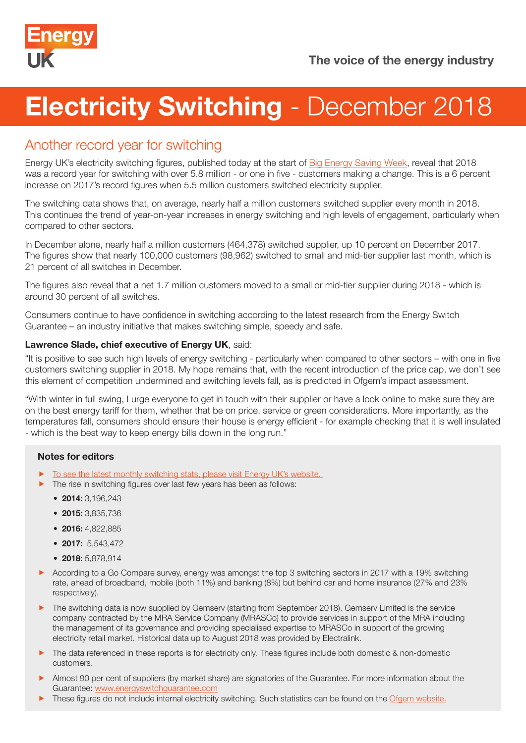

# **Electricity Switching - December 2018**

## Another record year for switching

Energy UK's electricity switching figures, published today at the start of [Big Energy Saving Week,](https://www.citizensadvice.org.uk/about-us/our-campaigns/all-our-current-campaigns/besw/) reveal that 2018 was a record year for switching with over 5.8 million - or one in five - customers making a change. This is a 6 percent increase on 2017's record figures when 5.5 million customers switched electricity supplier.

The switching data shows that, on average, nearly half a million customers switched supplier every month in 2018. This continues the trend of year-on-year increases in energy switching and high levels of engagement, particularly when compared to other sectors.

In December alone, nearly half a million customers (464,378) switched supplier, up 10 percent on December 2017. The figures show that nearly 100,000 customers (98,962) switched to small and mid-tier supplier last month, which is 21 percent of all switches in December.

The figures also reveal that a net 1.7 million customers moved to a small or mid-tier supplier during 2018 - which is around 30 percent of all switches.

Consumers continue to have confidence in switching according to the latest research from the Energy Switch Guarantee – an industry initiative that makes switching simple, speedy and safe.

### Lawrence Slade, chief executive of Energy UK, said:

"It is positive to see such high levels of energy switching - particularly when compared to other sectors – with one in five customers switching supplier in 2018. My hope remains that, with the recent introduction of the price cap, we don't see this element of competition undermined and switching levels fall, as is predicted in Ofgem's impact assessment.

"With winter in full swing, I urge everyone to get in touch with their supplier or have a look online to make sure they are on the best energy tariff for them, whether that be on price, service or green considerations. More importantly, as the temperatures fall, consumers should ensure their house is energy efficient - for example checking that it is well insulated - which is the best way to keep energy bills down in the long run."

## Notes for editors

- To see the latest monthly switching stats, please visit Energy UK's website.
- $\blacktriangleright$  The rise in switching figures over last few years has been as follows:
	- 2014: 3.196.243
	- 2015: 3,835,736
	- 2016: 4,822,885
	- 2017: 5,543,472
	- 2018: 5,878,914
- According to a Go Compare survey, energy was amongst the top 3 switching sectors in 2017 with a 19% switching rate, ahead of broadband, mobile (both 11%) and banking (8%) but behind car and home insurance (27% and 23% respectively).
- **F** The switching data is now supplied by Gemserv (starting from September 2018). Gemserv Limited is the service company contracted by the MRA Service Company (MRASCo) to provide services in support of the MRA including the management of its governance and providing specialised expertise to MRASCo in support of the growing electricity retail market. Historical data up to August 2018 was provided by Electralink.
- The data referenced in these reports is for electricity only. These figures include both domestic & non-domestic customers.
- **Almost 90 per cent of suppliers (by market share) are signatories of the Guarantee. For more information about the** Guarantee: www.energyswitchguarantee.com
- $\blacktriangleright$  These figures do not include internal electricity switching. Such statistics can be found on the [Ofgem website.](https://www.ofgem.gov.uk/data-portal/retail-market-indicators)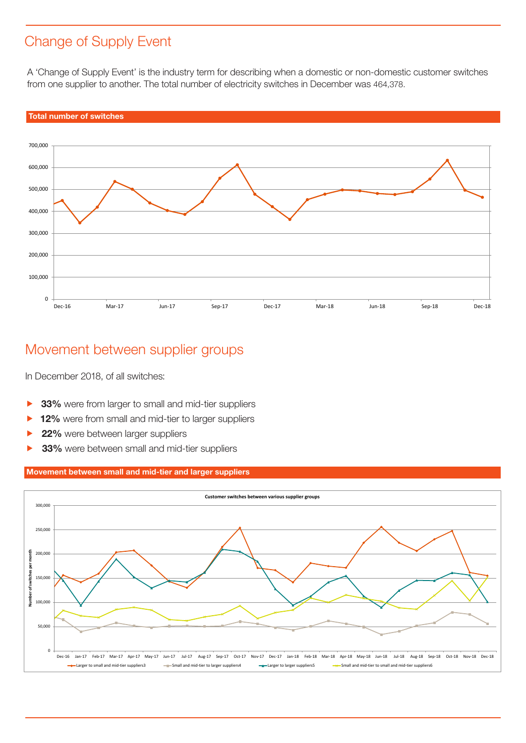# Change of Supply Event

A 'Change of Supply Event' is the industry term for describing when a domestic or non-domestic customer switches from one supplier to another. The total number of electricity switches in December was 464,378.



## Movement between supplier groups

In December 2018, of all switches:

- **33%** were from larger to small and mid-tier suppliers
- 12% were from small and mid-tier to larger suppliers
- 22% were between larger suppliers
- **33%** were between small and mid-tier suppliers

#### Movement between small and mid-tier and larger suppliers